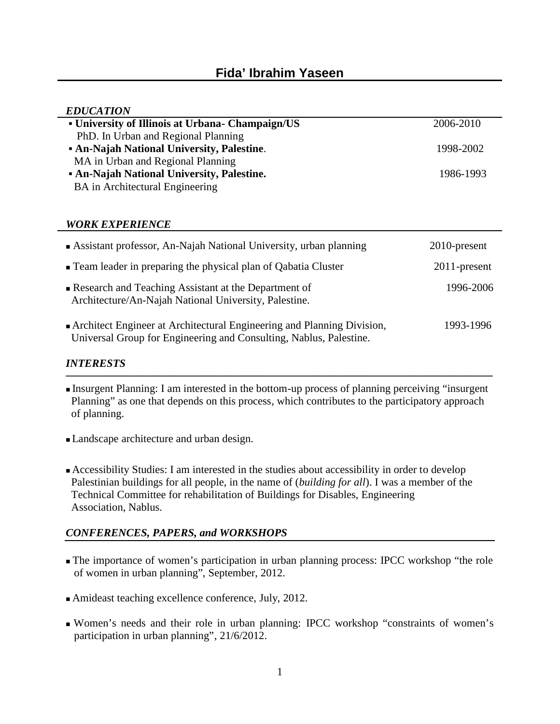| <b>EDUCATION</b>                                |           |
|-------------------------------------------------|-----------|
| University of Illinois at Urbana-Champaign/US   | 2006-2010 |
| PhD. In Urban and Regional Planning             |           |
| <b>An-Najah National University, Palestine.</b> | 1998-2002 |
| MA in Urban and Regional Planning               |           |
| <b>An-Najah National University, Palestine.</b> | 1986-1993 |
| BA in Architectural Engineering                 |           |

## *WORK EXPERIENCE*

| Assistant professor, An-Najah National University, urban planning                                                                            | $2010$ -present |
|----------------------------------------------------------------------------------------------------------------------------------------------|-----------------|
| Team leader in preparing the physical plan of Qabatia Cluster                                                                                | $2011$ -present |
| Research and Teaching Assistant at the Department of<br>Architecture/An-Najah National University, Palestine.                                | 1996-2006       |
| Architect Engineer at Architectural Engineering and Planning Division,<br>Universal Group for Engineering and Consulting, Nablus, Palestine. | 1993-1996       |

## *INTERESTS*

Insurgent Planning: I am interested in the bottom-up process of planning perceiving "insurgent Planning" as one that depends on this process, which contributes to the participatory approach of planning.

Landscape architecture and urban design.

Accessibility Studies: I am interested in the studies about accessibility in order to develop Palestinian buildings for all people, in the name of (*building for all*). I was a member of the Technical Committee for rehabilitation of Buildings for Disables, Engineering Association, Nablus.

# *CONFERENCES, PAPERS, and WORKSHOPS*

The importance of women's participation in urban planning process: IPCC workshop "the role of women in urban planning", September, 2012.

Amideast teaching excellence conference, July, 2012.

Women's needs and their role in urban planning: IPCC workshop "constraints of women's participation in urban planning", 21/6/2012.